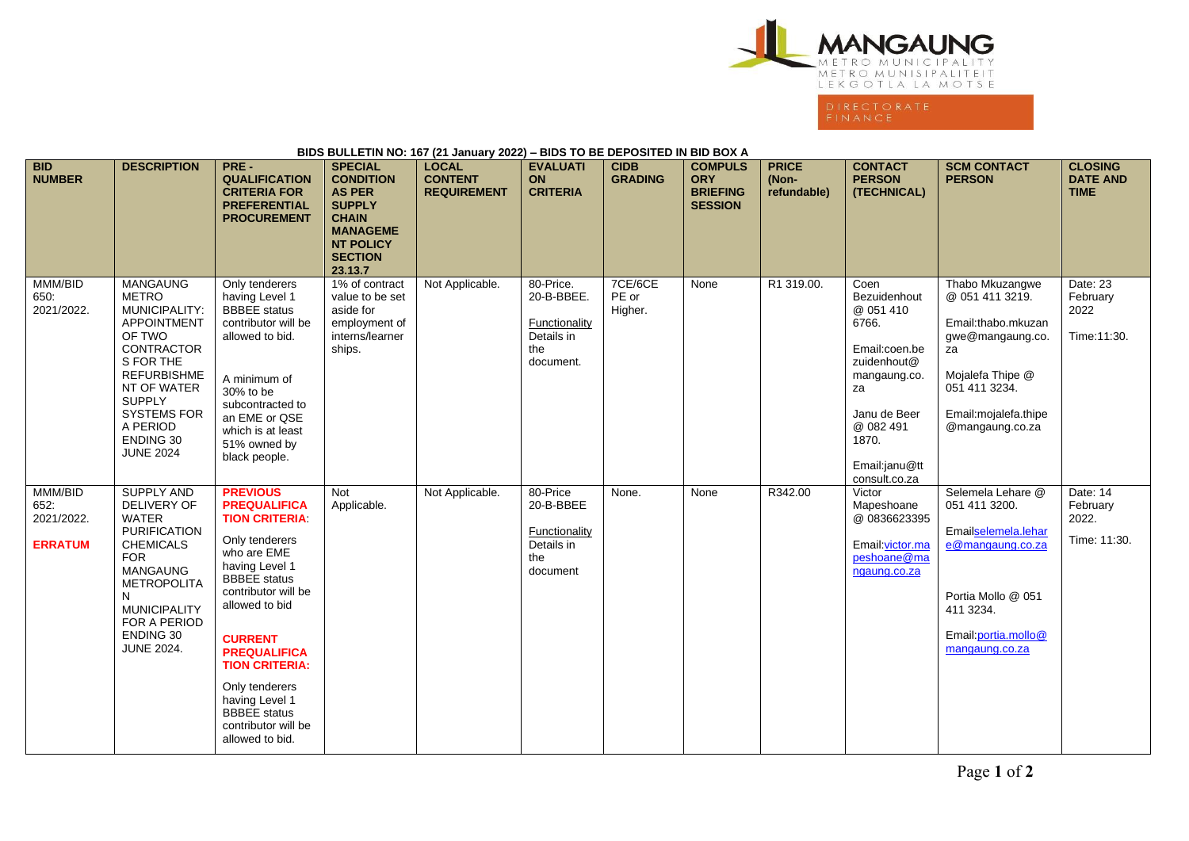

| BIDS BULLETIN NO: 167 (21 January 2022) – BIDS TO BE DEPOSITED IN BID BOX A |                                                                                                                                                                                                                                                    |                                                                                                                                                                                                                                                                                                                                                           |                                                                                                                                                          |                                                      |                                                                                   |                               |                                                                   |                                      |                                                                                                                                                                          |                                                                                                                                                                     |                                                  |
|-----------------------------------------------------------------------------|----------------------------------------------------------------------------------------------------------------------------------------------------------------------------------------------------------------------------------------------------|-----------------------------------------------------------------------------------------------------------------------------------------------------------------------------------------------------------------------------------------------------------------------------------------------------------------------------------------------------------|----------------------------------------------------------------------------------------------------------------------------------------------------------|------------------------------------------------------|-----------------------------------------------------------------------------------|-------------------------------|-------------------------------------------------------------------|--------------------------------------|--------------------------------------------------------------------------------------------------------------------------------------------------------------------------|---------------------------------------------------------------------------------------------------------------------------------------------------------------------|--------------------------------------------------|
| <b>BID</b><br><b>NUMBER</b>                                                 | <b>DESCRIPTION</b>                                                                                                                                                                                                                                 | PRE-<br><b>QUALIFICATION</b><br><b>CRITERIA FOR</b><br><b>PREFERENTIAL</b><br><b>PROCUREMENT</b>                                                                                                                                                                                                                                                          | <b>SPECIAL</b><br><b>CONDITION</b><br><b>AS PER</b><br><b>SUPPLY</b><br><b>CHAIN</b><br><b>MANAGEME</b><br><b>NT POLICY</b><br><b>SECTION</b><br>23.13.7 | <b>LOCAL</b><br><b>CONTENT</b><br><b>REQUIREMENT</b> | <b>EVALUATI</b><br>ON<br><b>CRITERIA</b>                                          | <b>CIDB</b><br><b>GRADING</b> | <b>COMPULS</b><br><b>ORY</b><br><b>BRIEFING</b><br><b>SESSION</b> | <b>PRICE</b><br>(Non-<br>refundable) | <b>CONTACT</b><br><b>PERSON</b><br>(TECHNICAL)                                                                                                                           | <b>SCM CONTACT</b><br><b>PERSON</b>                                                                                                                                 | <b>CLOSING</b><br><b>DATE AND</b><br><b>TIME</b> |
| MMM/BID<br>650:<br>2021/2022.                                               | <b>MANGAUNG</b><br><b>METRO</b><br><b>MUNICIPALITY:</b><br><b>APPOINTMENT</b><br>OF TWO<br><b>CONTRACTOR</b><br>S FOR THE<br><b>REFURBISHME</b><br>NT OF WATER<br><b>SUPPLY</b><br><b>SYSTEMS FOR</b><br>A PERIOD<br>ENDING 30<br><b>JUNE 2024</b> | Only tenderers<br>having Level 1<br><b>BBBEE</b> status<br>contributor will be<br>allowed to bid.<br>A minimum of<br>30% to be<br>subcontracted to<br>an EME or QSE<br>which is at least<br>51% owned by<br>black people.                                                                                                                                 | 1% of contract<br>value to be set<br>aside for<br>employment of<br>interns/learner<br>ships.                                                             | Not Applicable.                                      | 80-Price.<br>20-B-BBEE.<br><b>Functionality</b><br>Details in<br>the<br>document. | 7CE/6CE<br>PE or<br>Higher.   | None                                                              | R1 319.00.                           | Coen<br>Bezuidenhout<br>@ 051 410<br>6766.<br>Email:coen.be<br>zuidenhout@<br>mangaung.co.<br>za<br>Janu de Beer<br>@ 082 491<br>1870.<br>Email:janu@tt<br>consult.co.za | Thabo Mkuzangwe<br>@ 051 411 3219.<br>Email:thabo.mkuzan<br>gwe@mangaung.co.<br>za<br>Mojalefa Thipe @<br>051 411 3234.<br>Email: mojalefa.thipe<br>@mangaung.co.za | Date: 23<br>February<br>2022<br>Time: 11:30.     |
| MMM/BID<br>652:<br>2021/2022.<br><b>ERRATUM</b>                             | <b>SUPPLY AND</b><br><b>DELIVERY OF</b><br><b>WATER</b><br><b>PURIFICATION</b><br><b>CHEMICALS</b><br><b>FOR</b><br><b>MANGAUNG</b><br><b>METROPOLITA</b><br>N<br><b>MUNICIPALITY</b><br>FOR A PERIOD<br>ENDING 30<br><b>JUNE 2024.</b>            | <b>PREVIOUS</b><br><b>PREQUALIFICA</b><br><b>TION CRITERIA:</b><br>Only tenderers<br>who are EME<br>having Level 1<br><b>BBBEE</b> status<br>contributor will be<br>allowed to bid<br><b>CURRENT</b><br><b>PREQUALIFICA</b><br><b>TION CRITERIA:</b><br>Only tenderers<br>having Level 1<br><b>BBBEE</b> status<br>contributor will be<br>allowed to bid. | Not<br>Applicable.                                                                                                                                       | Not Applicable.                                      | 80-Price<br>20-B-BBEE<br><b>Functionality</b><br>Details in<br>the<br>document    | None.                         | None                                                              | R342.00                              | Victor<br>Mapeshoane<br>@0836623395<br>Email: victor.ma<br>peshoane@ma<br>ngaung.co.za                                                                                   | Selemela Lehare @<br>051 411 3200.<br>Emailselemela.lehar<br>e@mangaung.co.za<br>Portia Mollo @ 051<br>411 3234.<br>Email: portia.mollo@<br>mangaung.co.za          | Date: 14<br>February<br>2022.<br>Time: 11:30.    |

**BIDS BULLETIN NO: 167 (21 January 2022) – BIDS TO BE DEPOSITED IN BID BOX A**